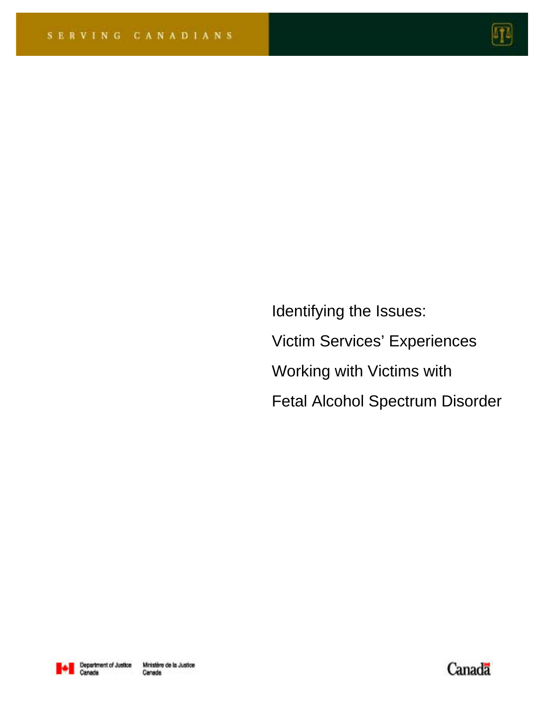

Identifying the Issues: Victim Services' Experiences Working with Victims with Fetal Alcohol Spectrum Disorder



Canada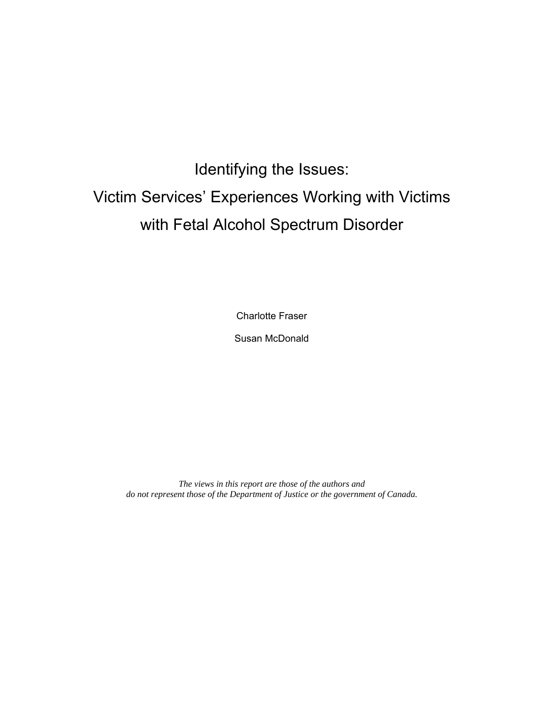# Identifying the Issues: Victim Services' Experiences Working with Victims with Fetal Alcohol Spectrum Disorder

Charlotte Fraser

Susan McDonald

*The views in this report are those of the authors and do not represent those of the Department of Justice or the government of Canada.*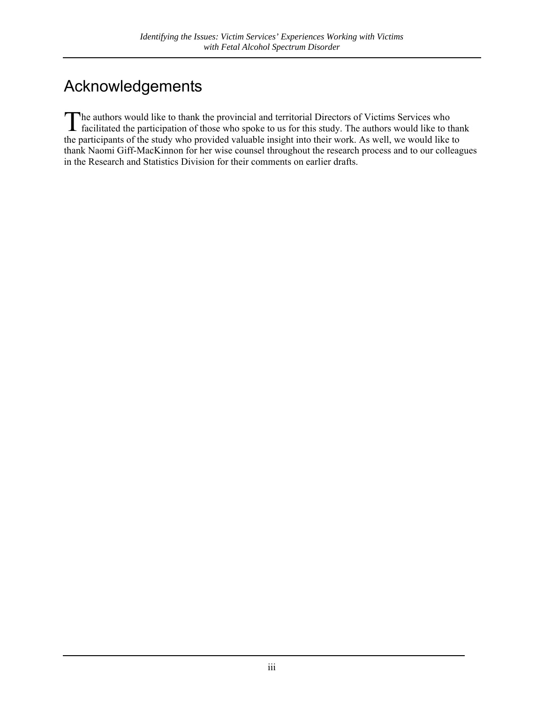## <span id="page-2-0"></span>Acknowledgements

he authors would like to thank the provincial and territorial Directors of Victims Services who The authors would like to thank the provincial and territorial Directors of Victims Services who facilitated the participation of those who spoke to us for this study. The authors would like to thank the participants of the study who provided valuable insight into their work. As well, we would like to thank Naomi Giff-MacKinnon for her wise counsel throughout the research process and to our colleagues in the Research and Statistics Division for their comments on earlier drafts.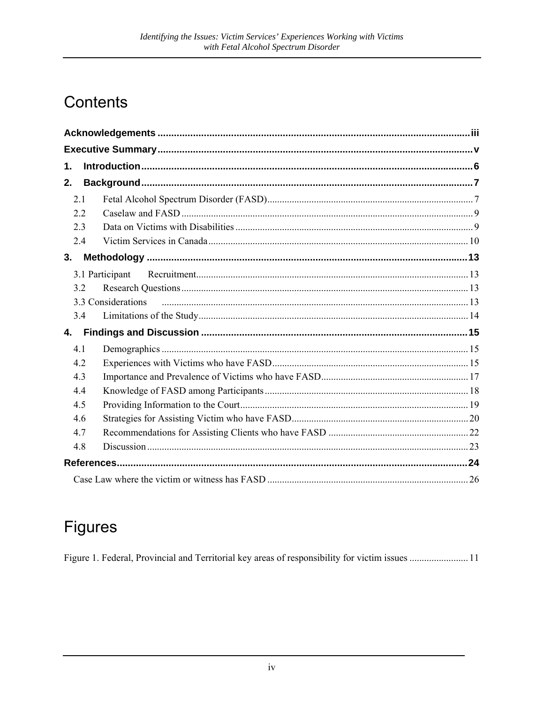### Contents

| 1.  |                    |  |  |
|-----|--------------------|--|--|
| 2.  |                    |  |  |
| 2.1 |                    |  |  |
| 2.2 |                    |  |  |
| 2.3 |                    |  |  |
| 2.4 |                    |  |  |
| 3.  |                    |  |  |
|     | 3.1 Participant    |  |  |
| 32  |                    |  |  |
|     | 3.3 Considerations |  |  |
| 3.4 |                    |  |  |
| 4.  |                    |  |  |
| 4.1 |                    |  |  |
| 4.2 |                    |  |  |
| 4.3 |                    |  |  |
| 4.4 |                    |  |  |
| 4.5 |                    |  |  |
| 4.6 |                    |  |  |
| 4.7 |                    |  |  |
| 4.8 |                    |  |  |
|     |                    |  |  |
|     |                    |  |  |

### **Figures**

Figure 1. Federal, Provincial and Territorial key areas of responsibility for victim issues .......................11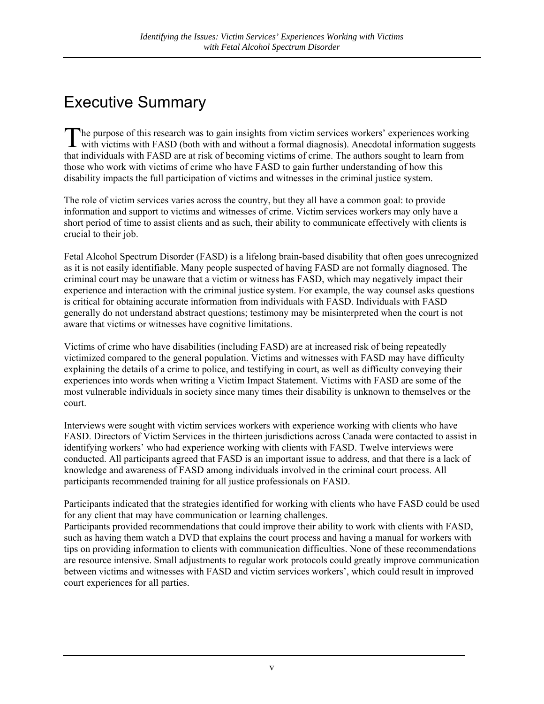### <span id="page-4-0"></span>Executive Summary

he purpose of this research was to gain insights from victim services workers' experiences working The purpose of this research was to gain insights from victim services workers' experiences working<br>with victims with FASD (both with and without a formal diagnosis). Anecdotal information suggests that individuals with FASD are at risk of becoming victims of crime. The authors sought to learn from those who work with victims of crime who have FASD to gain further understanding of how this disability impacts the full participation of victims and witnesses in the criminal justice system.

The role of victim services varies across the country, but they all have a common goal: to provide information and support to victims and witnesses of crime. Victim services workers may only have a short period of time to assist clients and as such, their ability to communicate effectively with clients is crucial to their job.

Fetal Alcohol Spectrum Disorder (FASD) is a lifelong brain-based disability that often goes unrecognized as it is not easily identifiable. Many people suspected of having FASD are not formally diagnosed. The criminal court may be unaware that a victim or witness has FASD, which may negatively impact their experience and interaction with the criminal justice system. For example, the way counsel asks questions is critical for obtaining accurate information from individuals with FASD. Individuals with FASD generally do not understand abstract questions; testimony may be misinterpreted when the court is not aware that victims or witnesses have cognitive limitations.

Victims of crime who have disabilities (including FASD) are at increased risk of being repeatedly victimized compared to the general population. Victims and witnesses with FASD may have difficulty explaining the details of a crime to police, and testifying in court, as well as difficulty conveying their experiences into words when writing a Victim Impact Statement. Victims with FASD are some of the most vulnerable individuals in society since many times their disability is unknown to themselves or the court.

Interviews were sought with victim services workers with experience working with clients who have FASD. Directors of Victim Services in the thirteen jurisdictions across Canada were contacted to assist in identifying workers' who had experience working with clients with FASD. Twelve interviews were conducted. All participants agreed that FASD is an important issue to address, and that there is a lack of knowledge and awareness of FASD among individuals involved in the criminal court process. All participants recommended training for all justice professionals on FASD.

Participants indicated that the strategies identified for working with clients who have FASD could be used for any client that may have communication or learning challenges.

Participants provided recommendations that could improve their ability to work with clients with FASD, such as having them watch a DVD that explains the court process and having a manual for workers with tips on providing information to clients with communication difficulties. None of these recommendations are resource intensive. Small adjustments to regular work protocols could greatly improve communication between victims and witnesses with FASD and victim services workers', which could result in improved court experiences for all parties.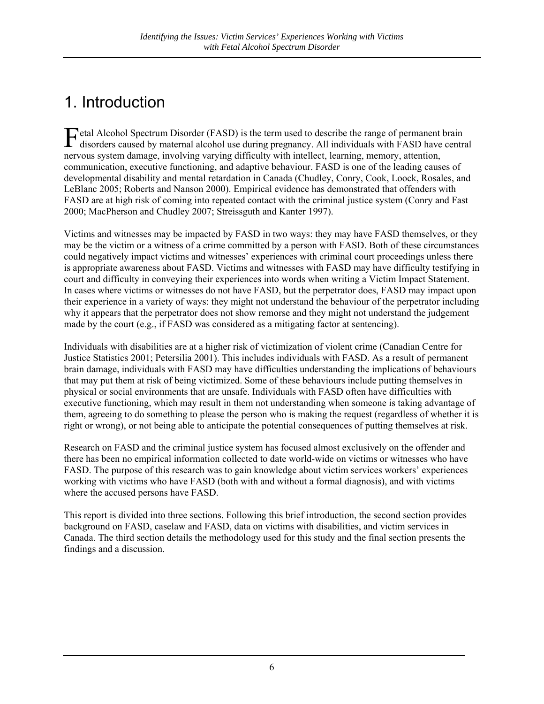## <span id="page-5-0"></span>1. Introduction

Fetal Alcohol Spectrum Disorder (FASD) is the term used to describe the range of permanent brain disorders caused by maternal alcohol use during pregnancy. All individuals with FASD have centre disorders caused by maternal alcohol use during pregnancy. All individuals with FASD have central nervous system damage, involving varying difficulty with intellect, learning, memory, attention, communication, executive functioning, and adaptive behaviour. FASD is one of the leading causes of developmental disability and mental retardation in Canada (Chudley, Conry, Cook, Loock, Rosales, and LeBlanc 2005; Roberts and Nanson 2000). Empirical evidence has demonstrated that offenders with FASD are at high risk of coming into repeated contact with the criminal justice system (Conry and Fast 2000; MacPherson and Chudley 2007; Streissguth and Kanter 1997).

Victims and witnesses may be impacted by FASD in two ways: they may have FASD themselves, or they may be the victim or a witness of a crime committed by a person with FASD. Both of these circumstances could negatively impact victims and witnesses' experiences with criminal court proceedings unless there is appropriate awareness about FASD. Victims and witnesses with FASD may have difficulty testifying in court and difficulty in conveying their experiences into words when writing a Victim Impact Statement. In cases where victims or witnesses do not have FASD, but the perpetrator does, FASD may impact upon their experience in a variety of ways: they might not understand the behaviour of the perpetrator including why it appears that the perpetrator does not show remorse and they might not understand the judgement made by the court (e.g., if FASD was considered as a mitigating factor at sentencing).

Individuals with disabilities are at a higher risk of victimization of violent crime (Canadian Centre for Justice Statistics 2001; Petersilia 2001). This includes individuals with FASD. As a result of permanent brain damage, individuals with FASD may have difficulties understanding the implications of behaviours that may put them at risk of being victimized. Some of these behaviours include putting themselves in physical or social environments that are unsafe. Individuals with FASD often have difficulties with executive functioning, which may result in them not understanding when someone is taking advantage of them, agreeing to do something to please the person who is making the request (regardless of whether it is right or wrong), or not being able to anticipate the potential consequences of putting themselves at risk.

Research on FASD and the criminal justice system has focused almost exclusively on the offender and there has been no empirical information collected to date world-wide on victims or witnesses who have FASD. The purpose of this research was to gain knowledge about victim services workers' experiences working with victims who have FASD (both with and without a formal diagnosis), and with victims where the accused persons have FASD.

This report is divided into three sections. Following this brief introduction, the second section provides background on FASD, caselaw and FASD, data on victims with disabilities, and victim services in Canada. The third section details the methodology used for this study and the final section presents the findings and a discussion.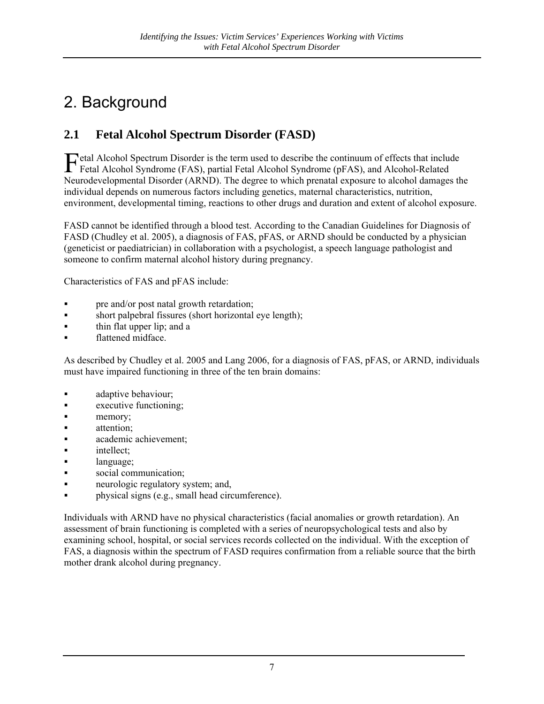### <span id="page-6-0"></span>2. Background

#### **2.1 Fetal Alcohol Spectrum Disorder (FASD)**

Fetal Alcohol Spectrum Disorder is the term used to describe the continuum of effects that include<br>Fetal Alcohol Syndrome (FAS), partial Fetal Alcohol Syndrome (pFAS), and Alcohol-Related Fetal Alcohol Syndrome (FAS), partial Fetal Alcohol Syndrome (pFAS), and Alcohol-Related Neurodevelopmental Disorder (ARND). The degree to which prenatal exposure to alcohol damages the individual depends on numerous factors including genetics, maternal characteristics, nutrition, environment, developmental timing, reactions to other drugs and duration and extent of alcohol exposure.

FASD cannot be identified through a blood test. According to the Canadian Guidelines for Diagnosis of FASD (Chudley et al. 2005), a diagnosis of FAS, pFAS, or ARND should be conducted by a physician (geneticist or paediatrician) in collaboration with a psychologist, a speech language pathologist and someone to confirm maternal alcohol history during pregnancy.

Characteristics of FAS and pFAS include:

- pre and/or post natal growth retardation;
- short palpebral fissures (short horizontal eye length);
- **thin flat upper lip; and a**
- flattened midface.

As described by Chudley et al. 2005 and Lang 2006, for a diagnosis of FAS, pFAS, or ARND, individuals must have impaired functioning in three of the ten brain domains:

- **adaptive behaviour;**
- **Executive functioning;**
- **n** memory;
- **attention**;
- **academic achievement;**
- **intellect;**
- **a** language;
- social communication;
- neurologic regulatory system; and,
- **physical signs (e.g., small head circumference).**

Individuals with ARND have no physical characteristics (facial anomalies or growth retardation). An assessment of brain functioning is completed with a series of neuropsychological tests and also by examining school, hospital, or social services records collected on the individual. With the exception of FAS, a diagnosis within the spectrum of FASD requires confirmation from a reliable source that the birth mother drank alcohol during pregnancy.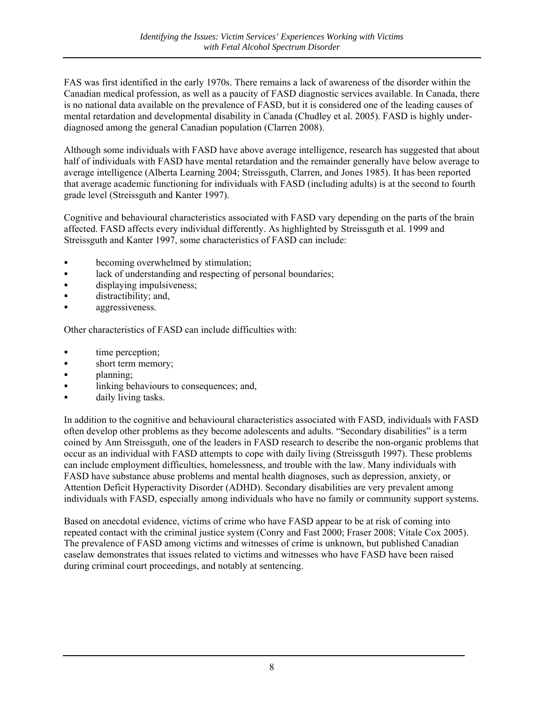FAS was first identified in the early 1970s. There remains a lack of awareness of the disorder within the Canadian medical profession, as well as a paucity of FASD diagnostic services available. In Canada, there is no national data available on the prevalence of FASD, but it is considered one of the leading causes of mental retardation and developmental disability in Canada (Chudley et al. 2005). FASD is highly underdiagnosed among the general Canadian population (Clarren 2008).

Although some individuals with FASD have above average intelligence, research has suggested that about half of individuals with FASD have mental retardation and the remainder generally have below average to average intelligence (Alberta Learning 2004; Streissguth, Clarren, and Jones 1985). It has been reported that average academic functioning for individuals with FASD (including adults) is at the second to fourth grade level (Streissguth and Kanter 1997).

Cognitive and behavioural characteristics associated with FASD vary depending on the parts of the brain affected. FASD affects every individual differently. As highlighted by Streissguth et al. 1999 and Streissguth and Kanter 1997, some characteristics of FASD can include:

- becoming overwhelmed by stimulation;
- **a** lack of understanding and respecting of personal boundaries;
- displaying impulsiveness;
- distractibility; and,
- aggressiveness.

Other characteristics of FASD can include difficulties with:

- time perception;
- short term memory;
- **n planning**;
- **I** linking behaviours to consequences; and,
- **daily living tasks.**

In addition to the cognitive and behavioural characteristics associated with FASD, individuals with FASD often develop other problems as they become adolescents and adults. "Secondary disabilities" is a term coined by Ann Streissguth, one of the leaders in FASD research to describe the non-organic problems that occur as an individual with FASD attempts to cope with daily living (Streissguth 1997). These problems can include employment difficulties, homelessness, and trouble with the law. Many individuals with FASD have substance abuse problems and mental health diagnoses, such as depression, anxiety, or Attention Deficit Hyperactivity Disorder (ADHD). Secondary disabilities are very prevalent among individuals with FASD, especially among individuals who have no family or community support systems.

Based on anecdotal evidence, victims of crime who have FASD appear to be at risk of coming into repeated contact with the criminal justice system (Conry and Fast 2000; Fraser 2008; Vitale Cox 2005). The prevalence of FASD among victims and witnesses of crime is unknown, but published Canadian caselaw demonstrates that issues related to victims and witnesses who have FASD have been raised during criminal court proceedings, and notably at sentencing.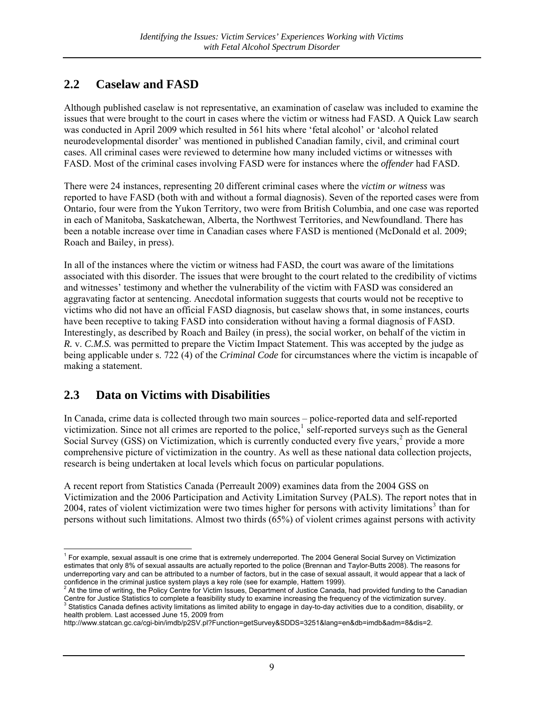#### <span id="page-8-0"></span>**2.2 Caselaw and FASD**

Although published caselaw is not representative, an examination of caselaw was included to examine the issues that were brought to the court in cases where the victim or witness had FASD. A Quick Law search was conducted in April 2009 which resulted in 561 hits where 'fetal alcohol' or 'alcohol related neurodevelopmental disorder' was mentioned in published Canadian family, civil, and criminal court cases. All criminal cases were reviewed to determine how many included victims or witnesses with FASD. Most of the criminal cases involving FASD were for instances where the *offender* had FASD.

There were 24 instances, representing 20 different criminal cases where the *victim or witness* was reported to have FASD (both with and without a formal diagnosis). Seven of the reported cases were from Ontario, four were from the Yukon Territory, two were from British Columbia, and one case was reported in each of Manitoba, Saskatchewan, Alberta, the Northwest Territories, and Newfoundland. There has been a notable increase over time in Canadian cases where FASD is mentioned (McDonald et al. 2009; Roach and Bailey, in press).

In all of the instances where the victim or witness had FASD, the court was aware of the limitations associated with this disorder. The issues that were brought to the court related to the credibility of victims and witnesses' testimony and whether the vulnerability of the victim with FASD was considered an aggravating factor at sentencing. Anecdotal information suggests that courts would not be receptive to victims who did not have an official FASD diagnosis, but caselaw shows that, in some instances, courts have been receptive to taking FASD into consideration without having a formal diagnosis of FASD. Interestingly, as described by Roach and Bailey (in press), the social worker, on behalf of the victim in *R.* v. *C.M.S.* was permitted to prepare the Victim Impact Statement. This was accepted by the judge as being applicable under s. 722 (4) of the *Criminal Code* for circumstances where the victim is incapable of making a statement.

#### **2.3 Data on Victims with Disabilities**

In Canada, crime data is collected through two main sources – police-reported data and self-reported victimization. Since not all crimes are reported to the police, $\frac{1}{1}$  $\frac{1}{1}$  $\frac{1}{1}$  self-reported surveys such as the General Social Survey (GSS) on Victimization, which is currently conducted every five years,<sup>[2](#page-8-2)</sup> provide a more comprehensive picture of victimization in the country. As well as these national data collection projects, research is being undertaken at local levels which focus on particular populations.

A recent report from Statistics Canada (Perreault 2009) examines data from the 2004 GSS on Victimization and the 2006 Participation and Activity Limitation Survey (PALS). The report notes that in 2004, rates of violent victimization were two times higher for persons with activity limitations<sup>[3](#page-8-3)</sup> than for persons without such limitations. Almost two thirds (65%) of violent crimes against persons with activity

<span id="page-8-1"></span> 1 For example, sexual assault is one crime that is extremely underreported. The 2004 General Social Survey on Victimization estimates that only 8% of sexual assaults are actually reported to the police (Brennan and Taylor-Butts 2008). The reasons for underreporting vary and can be attributed to a number of factors, but in the case of sexual assault, it would appear that a lack of

<span id="page-8-2"></span>confidence in the criminal justice system plays a key role (see for example, Hattem 1999).<br><sup>2</sup> At the time of writing, the Policy Centre for Victim Issues, Department of Justice Canada, had provided funding to the Canadian Centre for Justice Statistics to complete a feasibility study to examine increasing the frequency of the victimization survey.

<span id="page-8-3"></span>Statistics Canada defines activity limitations as limited ability to engage in day-to-day activities due to a condition, disability, or health problem. Last accessed June 15, 2009 from

http://www.statcan.gc.ca/cgi-bin/imdb/p2SV.pl?Function=getSurvey&SDDS=3251&lang=en&db=imdb&adm=8&dis=2.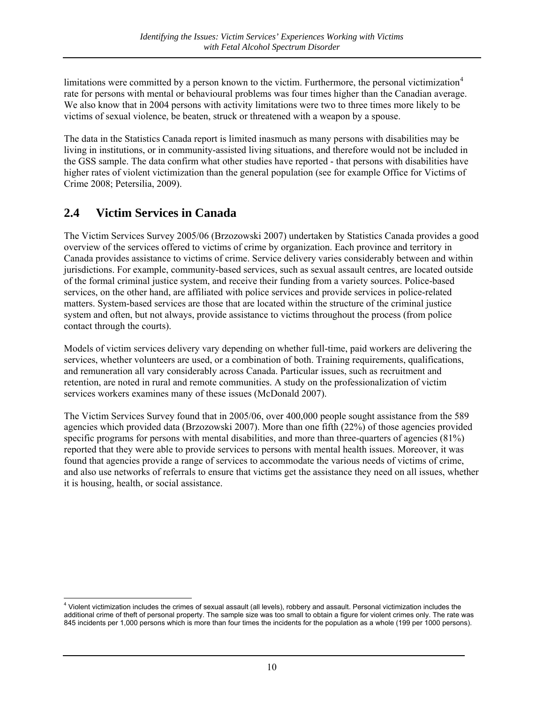<span id="page-9-0"></span>limitations were committed by a person known to the victim. Furthermore, the personal victimization<sup>[4](#page-9-1)</sup> rate for persons with mental or behavioural problems was four times higher than the Canadian average. We also know that in 2004 persons with activity limitations were two to three times more likely to be victims of sexual violence, be beaten, struck or threatened with a weapon by a spouse.

The data in the Statistics Canada report is limited inasmuch as many persons with disabilities may be living in institutions, or in community-assisted living situations, and therefore would not be included in the GSS sample. The data confirm what other studies have reported - that persons with disabilities have higher rates of violent victimization than the general population (see for example Office for Victims of Crime 2008; Petersilia, 2009).

#### **2.4 Victim Services in Canada**

The Victim Services Survey 2005/06 (Brzozowski 2007) undertaken by Statistics Canada provides a good overview of the services offered to victims of crime by organization. Each province and territory in Canada provides assistance to victims of crime. Service delivery varies considerably between and within jurisdictions. For example, community-based services, such as sexual assault centres, are located outside of the formal criminal justice system, and receive their funding from a variety sources. Police-based services, on the other hand, are affiliated with police services and provide services in police-related matters. System-based services are those that are located within the structure of the criminal justice system and often, but not always, provide assistance to victims throughout the process (from police contact through the courts).

Models of victim services delivery vary depending on whether full-time, paid workers are delivering the services, whether volunteers are used, or a combination of both. Training requirements, qualifications, and remuneration all vary considerably across Canada. Particular issues, such as recruitment and retention, are noted in rural and remote communities. A study on the professionalization of victim services workers examines many of these issues (McDonald 2007).

The Victim Services Survey found that in 2005/06, over 400,000 people sought assistance from the 589 agencies which provided data (Brzozowski 2007). More than one fifth (22%) of those agencies provided specific programs for persons with mental disabilities, and more than three-quarters of agencies (81%) reported that they were able to provide services to persons with mental health issues. Moreover, it was found that agencies provide a range of services to accommodate the various needs of victims of crime, and also use networks of referrals to ensure that victims get the assistance they need on all issues, whether it is housing, health, or social assistance.

<span id="page-9-1"></span> 4 Violent victimization includes the crimes of sexual assault (all levels), robbery and assault. Personal victimization includes the additional crime of theft of personal property. The sample size was too small to obtain a figure for violent crimes only. The rate was 845 incidents per 1,000 persons which is more than four times the incidents for the population as a whole (199 per 1000 persons).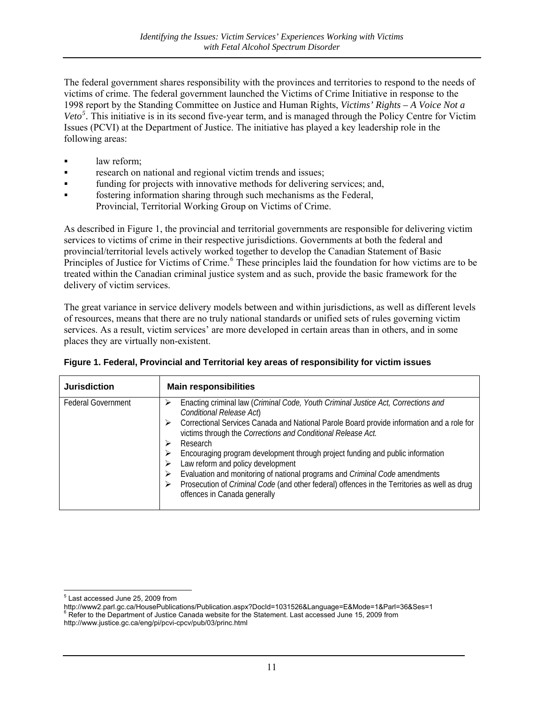<span id="page-10-0"></span>The federal government shares responsibility with the provinces and territories to respond to the needs of victims of crime. The federal government launched the Victims of Crime Initiative in response to the 1998 report by the Standing Committee on Justice and Human Rights, *Victims' Rights – A Voice Not a*  Veto<sup>[5](#page-10-1)</sup>. This initiative is in its second five-year term, and is managed through the Policy Centre for Victim Issues (PCVI) at the Department of Justice. The initiative has played a key leadership role in the following areas:

- law reform;
- **research on national and regional victim trends and issues;**
- funding for projects with innovative methods for delivering services; and,
- fostering information sharing through such mechanisms as the Federal, Provincial, Territorial Working Group on Victims of Crime.

As described in Figure 1, the provincial and territorial governments are responsible for delivering victim services to victims of crime in their respective jurisdictions. Governments at both the federal and provincial/territorial levels actively worked together to develop the Canadian Statement of Basic Principles of Justice for Victims of Crime.<sup>[6](#page-10-2)</sup> These principles laid the foundation for how victims are to be treated within the Canadian criminal justice system and as such, provide the basic framework for the delivery of victim services.

The great variance in service delivery models between and within jurisdictions, as well as different levels of resources, means that there are no truly national standards or unified sets of rules governing victim services. As a result, victim services' are more developed in certain areas than in others, and in some places they are virtually non-existent.

| <b>Jurisdiction</b>       | <b>Main responsibilities</b>                                                                                                                                                                                                                                                                                                                                                                                                                                                                                                                                                                                                                                  |
|---------------------------|---------------------------------------------------------------------------------------------------------------------------------------------------------------------------------------------------------------------------------------------------------------------------------------------------------------------------------------------------------------------------------------------------------------------------------------------------------------------------------------------------------------------------------------------------------------------------------------------------------------------------------------------------------------|
| <b>Federal Government</b> | Enacting criminal law (Criminal Code, Youth Criminal Justice Act, Corrections and<br>⋗<br>Conditional Release Act<br>Correctional Services Canada and National Parole Board provide information and a role for<br>victims through the Corrections and Conditional Release Act.<br>Research<br>Encouraging program development through project funding and public information<br>⋗<br>Law reform and policy development<br>Evaluation and monitoring of national programs and <i>Criminal Code</i> amendments<br>⋗<br>Prosecution of <i>Criminal Code</i> (and other federal) offences in the Territories as well as drug<br>⋗<br>offences in Canada generally |

| Figure 1. Federal, Provincial and Territorial key areas of responsibility for victim issues |  |  |  |  |
|---------------------------------------------------------------------------------------------|--|--|--|--|
|                                                                                             |  |  |  |  |
|                                                                                             |  |  |  |  |

 5 Last accessed June 25, 2009 from

<span id="page-10-2"></span><span id="page-10-1"></span>http://www2.parl.gc.ca/HousePublications/Publication.aspx?DocId=1031526&Language=E&Mode=1&Parl=36&Ses=1<br><sup>6</sup> Refer to the Department of Justice Canada website for the Statement. Last accessed June 15, 2009 from http://www.justice.gc.ca/eng/pi/pcvi-cpcv/pub/03/princ.html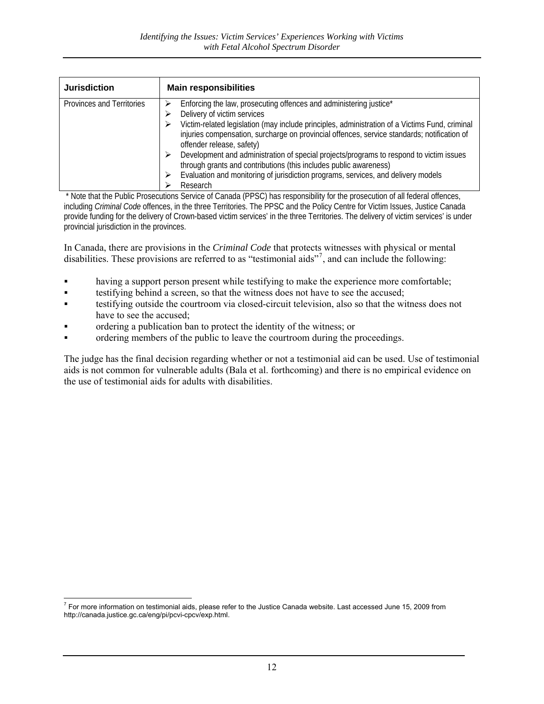| <b>Jurisdiction</b>       | <b>Main responsibilities</b>                                                                                                                                                                                                                                                                                                                                                                                               |
|---------------------------|----------------------------------------------------------------------------------------------------------------------------------------------------------------------------------------------------------------------------------------------------------------------------------------------------------------------------------------------------------------------------------------------------------------------------|
| Provinces and Territories | Enforcing the law, prosecuting offences and administering justice*<br>Delivery of victim services<br>Victim-related legislation (may include principles, administration of a Victims Fund, criminal<br>injuries compensation, surcharge on provincial offences, service standards; notification of<br>offender release, safety)<br>Development and administration of special projects/programs to respond to victim issues |
|                           | through grants and contributions (this includes public awareness)<br>Evaluation and monitoring of jurisdiction programs, services, and delivery models<br>Research                                                                                                                                                                                                                                                         |

 \* Note that the Public Prosecutions Service of Canada (PPSC) has responsibility for the prosecution of all federal offences, including *Criminal Code* offences, in the three Territories. The PPSC and the Policy Centre for Victim Issues, Justice Canada provide funding for the delivery of Crown-based victim services' in the three Territories. The delivery of victim services' is under provincial jurisdiction in the provinces.

In Canada, there are provisions in the *Criminal Code* that protects witnesses with physical or mental disabilities. These provisions are referred to as "testimonial aids"[7](#page-11-0) , and can include the following:

- having a support person present while testifying to make the experience more comfortable;
- testifying behind a screen, so that the witness does not have to see the accused;
- testifying outside the courtroom via closed-circuit television, also so that the witness does not have to see the accused:
- ordering a publication ban to protect the identity of the witness; or
- ordering members of the public to leave the courtroom during the proceedings.

The judge has the final decision regarding whether or not a testimonial aid can be used. Use of testimonial aids is not common for vulnerable adults (Bala et al. forthcoming) and there is no empirical evidence on the use of testimonial aids for adults with disabilities.

<span id="page-11-0"></span> 7 For more information on testimonial aids, please refer to the Justice Canada website. Last accessed June 15, 2009 from http://canada.justice.gc.ca/eng/pi/pcvi-cpcv/exp.html.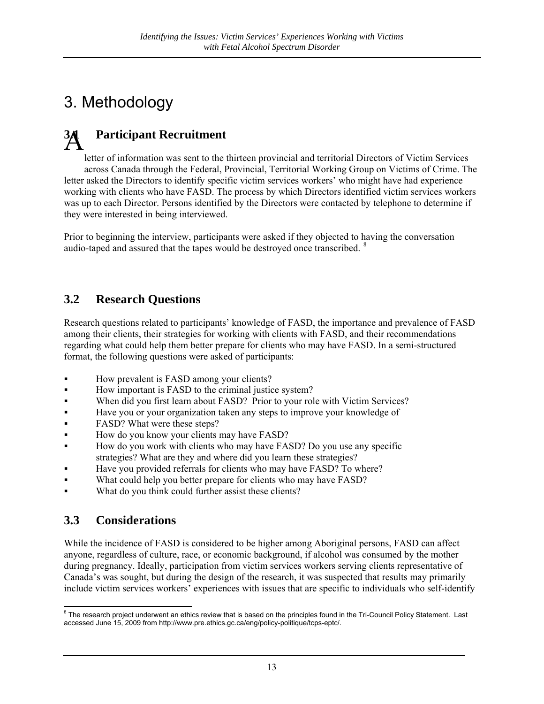## <span id="page-12-0"></span>3. Methodology

### **3.1 Participant Recruitment**  A

letter of information was sent to the thirteen provincial and territorial Directors of Victim Services across Canada through the Federal, Provincial, Territorial Working Group on Victims of Crime. The letter asked the Directors to identify specific victim services workers' who might have had experience working with clients who have FASD. The process by which Directors identified victim services workers was up to each Director. Persons identified by the Directors were contacted by telephone to determine if they were interested in being interviewed.

Prior to beginning the interview, participants were asked if they objected to having the conversation audio-taped and assured that the tapes would be [d](#page-12-1)estroyed once transcribed. <sup>8</sup>

#### **3.2 Research Questions**

Research questions related to participants' knowledge of FASD, the importance and prevalence of FASD among their clients, their strategies for working with clients with FASD, and their recommendations regarding what could help them better prepare for clients who may have FASD. In a semi-structured format, the following questions were asked of participants:

- How prevalent is FASD among your clients?
- How important is FASD to the criminal justice system?
- When did you first learn about FASD? Prior to your role with Victim Services?
- Have you or your organization taken any steps to improve your knowledge of
- **FASD?** What were these steps?
- How do you know your clients may have FASD?
- How do you work with clients who may have FASD? Do you use any specific strategies? What are they and where did you learn these strategies?
- Have you provided referrals for clients who may have FASD? To where?
- What could help you better prepare for clients who may have FASD?
- What do you think could further assist these clients?

#### **3.3 Considerations**

While the incidence of FASD is considered to be higher among Aboriginal persons, FASD can affect anyone, regardless of culture, race, or economic background, if alcohol was consumed by the mother during pregnancy. Ideally, participation from victim services workers serving clients representative of Canada's was sought, but during the design of the research, it was suspected that results may primarily include victim services workers' experiences with issues that are specific to individuals who self-identify

<span id="page-12-1"></span> 8 The research project underwent an ethics review that is based on the principles found in the Tri-Council Policy Statement. Last accessed June 15, 2009 from http://www.pre.ethics.gc.ca/eng/policy-politique/tcps-eptc/.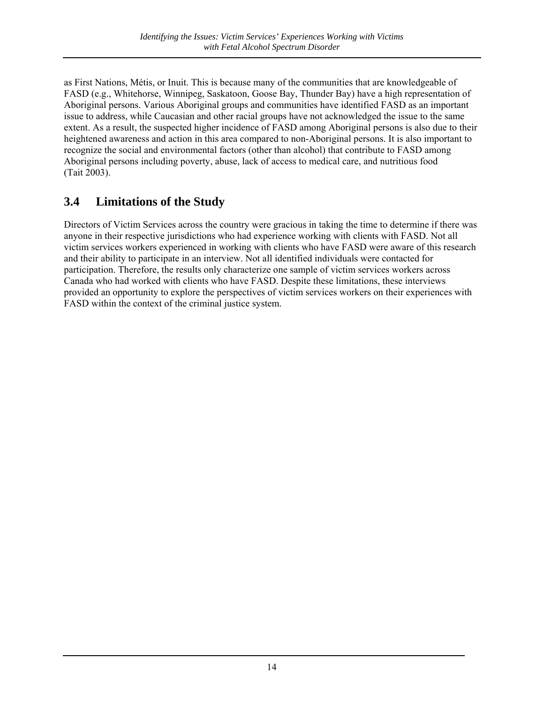<span id="page-13-0"></span>as First Nations, Métis, or Inuit. This is because many of the communities that are knowledgeable of FASD (e.g., Whitehorse, Winnipeg, Saskatoon, Goose Bay, Thunder Bay) have a high representation of Aboriginal persons. Various Aboriginal groups and communities have identified FASD as an important issue to address, while Caucasian and other racial groups have not acknowledged the issue to the same extent. As a result, the suspected higher incidence of FASD among Aboriginal persons is also due to their heightened awareness and action in this area compared to non-Aboriginal persons. It is also important to recognize the social and environmental factors (other than alcohol) that contribute to FASD among Aboriginal persons including poverty, abuse, lack of access to medical care, and nutritious food (Tait 2003).

#### **3.4 Limitations of the Study**

Directors of Victim Services across the country were gracious in taking the time to determine if there was anyone in their respective jurisdictions who had experience working with clients with FASD. Not all victim services workers experienced in working with clients who have FASD were aware of this research and their ability to participate in an interview. Not all identified individuals were contacted for participation. Therefore, the results only characterize one sample of victim services workers across Canada who had worked with clients who have FASD. Despite these limitations, these interviews provided an opportunity to explore the perspectives of victim services workers on their experiences with FASD within the context of the criminal justice system.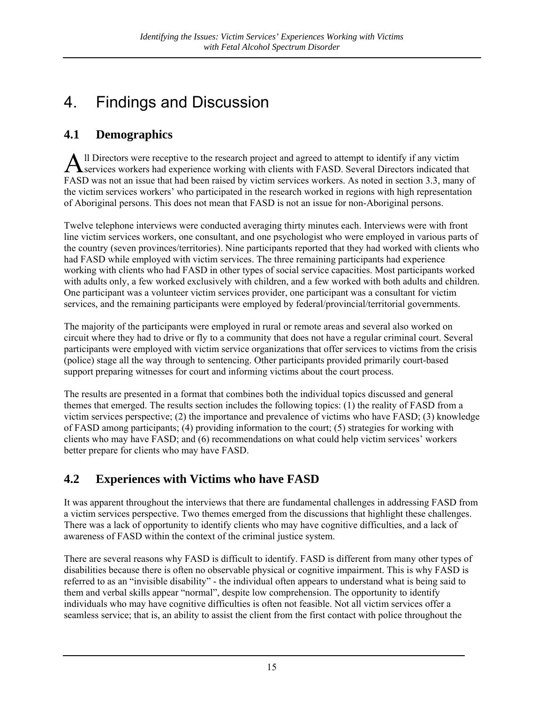### <span id="page-14-0"></span>4. Findings and Discussion

#### **4.1 Demographics**

All Directors were receptive to the research project and agreed to attempt to identify if any victim<br>
Reservices workers had experience working with clients with FASD. Several Directors indicated the **T** services workers had experience working with clients with FASD. Several Directors indicated that FASD was not an issue that had been raised by victim services workers. As noted in section 3.3, many of the victim services workers' who participated in the research worked in regions with high representation of Aboriginal persons. This does not mean that FASD is not an issue for non-Aboriginal persons.

Twelve telephone interviews were conducted averaging thirty minutes each. Interviews were with front line victim services workers, one consultant, and one psychologist who were employed in various parts of the country (seven provinces/territories). Nine participants reported that they had worked with clients who had FASD while employed with victim services. The three remaining participants had experience working with clients who had FASD in other types of social service capacities. Most participants worked with adults only, a few worked exclusively with children, and a few worked with both adults and children. One participant was a volunteer victim services provider, one participant was a consultant for victim services, and the remaining participants were employed by federal/provincial/territorial governments.

The majority of the participants were employed in rural or remote areas and several also worked on circuit where they had to drive or fly to a community that does not have a regular criminal court. Several participants were employed with victim service organizations that offer services to victims from the crisis (police) stage all the way through to sentencing. Other participants provided primarily court-based support preparing witnesses for court and informing victims about the court process.

The results are presented in a format that combines both the individual topics discussed and general themes that emerged. The results section includes the following topics: (1) the reality of FASD from a victim services perspective; (2) the importance and prevalence of victims who have FASD; (3) knowledge of FASD among participants; (4) providing information to the court; (5) strategies for working with clients who may have FASD; and (6) recommendations on what could help victim services' workers better prepare for clients who may have FASD.

#### **4.2 Experiences with Victims who have FASD**

It was apparent throughout the interviews that there are fundamental challenges in addressing FASD from a victim services perspective. Two themes emerged from the discussions that highlight these challenges. There was a lack of opportunity to identify clients who may have cognitive difficulties, and a lack of awareness of FASD within the context of the criminal justice system.

There are several reasons why FASD is difficult to identify. FASD is different from many other types of disabilities because there is often no observable physical or cognitive impairment. This is why FASD is referred to as an "invisible disability" - the individual often appears to understand what is being said to them and verbal skills appear "normal", despite low comprehension. The opportunity to identify individuals who may have cognitive difficulties is often not feasible. Not all victim services offer a seamless service; that is, an ability to assist the client from the first contact with police throughout the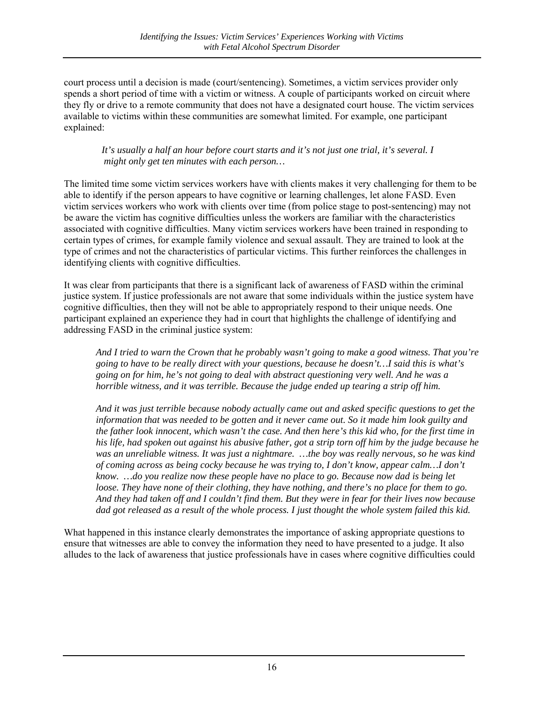court process until a decision is made (court/sentencing). Sometimes, a victim services provider only spends a short period of time with a victim or witness. A couple of participants worked on circuit where they fly or drive to a remote community that does not have a designated court house. The victim services available to victims within these communities are somewhat limited. For example, one participant explained:

#### *It's usually a half an hour before court starts and it's not just one trial, it's several. I might only get ten minutes with each person…*

The limited time some victim services workers have with clients makes it very challenging for them to be able to identify if the person appears to have cognitive or learning challenges, let alone FASD. Even victim services workers who work with clients over time (from police stage to post-sentencing) may not be aware the victim has cognitive difficulties unless the workers are familiar with the characteristics associated with cognitive difficulties. Many victim services workers have been trained in responding to certain types of crimes, for example family violence and sexual assault. They are trained to look at the type of crimes and not the characteristics of particular victims. This further reinforces the challenges in identifying clients with cognitive difficulties.

It was clear from participants that there is a significant lack of awareness of FASD within the criminal justice system. If justice professionals are not aware that some individuals within the justice system have cognitive difficulties, then they will not be able to appropriately respond to their unique needs. One participant explained an experience they had in court that highlights the challenge of identifying and addressing FASD in the criminal justice system:

*And I tried to warn the Crown that he probably wasn't going to make a good witness. That you're going to have to be really direct with your questions, because he doesn't…I said this is what's going on for him, he's not going to deal with abstract questioning very well. And he was a horrible witness, and it was terrible. Because the judge ended up tearing a strip off him.* 

*And it was just terrible because nobody actually came out and asked specific questions to get the information that was needed to be gotten and it never came out. So it made him look guilty and the father look innocent, which wasn't the case. And then here's this kid who, for the first time in his life, had spoken out against his abusive father, got a strip torn off him by the judge because he was an unreliable witness. It was just a nightmare. …the boy was really nervous, so he was kind of coming across as being cocky because he was trying to, I don't know, appear calm…I don't know. …do you realize now these people have no place to go. Because now dad is being let loose. They have none of their clothing, they have nothing, and there's no place for them to go. And they had taken off and I couldn't find them. But they were in fear for their lives now because dad got released as a result of the whole process. I just thought the whole system failed this kid.* 

What happened in this instance clearly demonstrates the importance of asking appropriate questions to ensure that witnesses are able to convey the information they need to have presented to a judge. It also alludes to the lack of awareness that justice professionals have in cases where cognitive difficulties could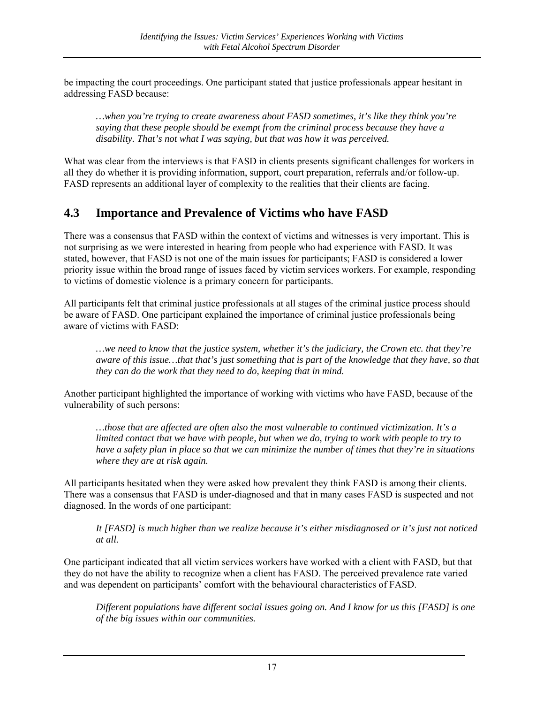<span id="page-16-0"></span>be impacting the court proceedings. One participant stated that justice professionals appear hesitant in addressing FASD because:

*…when you're trying to create awareness about FASD sometimes, it's like they think you're saying that these people should be exempt from the criminal process because they have a disability. That's not what I was saying, but that was how it was perceived.* 

What was clear from the interviews is that FASD in clients presents significant challenges for workers in all they do whether it is providing information, support, court preparation, referrals and/or follow-up. FASD represents an additional layer of complexity to the realities that their clients are facing.

#### **4.3 Importance and Prevalence of Victims who have FASD**

There was a consensus that FASD within the context of victims and witnesses is very important. This is not surprising as we were interested in hearing from people who had experience with FASD. It was stated, however, that FASD is not one of the main issues for participants; FASD is considered a lower priority issue within the broad range of issues faced by victim services workers. For example, responding to victims of domestic violence is a primary concern for participants.

All participants felt that criminal justice professionals at all stages of the criminal justice process should be aware of FASD. One participant explained the importance of criminal justice professionals being aware of victims with FASD:

*…we need to know that the justice system, whether it's the judiciary, the Crown etc. that they're aware of this issue…that that's just something that is part of the knowledge that they have, so that they can do the work that they need to do, keeping that in mind.* 

Another participant highlighted the importance of working with victims who have FASD, because of the vulnerability of such persons:

*…those that are affected are often also the most vulnerable to continued victimization. It's a limited contact that we have with people, but when we do, trying to work with people to try to have a safety plan in place so that we can minimize the number of times that they're in situations where they are at risk again.* 

All participants hesitated when they were asked how prevalent they think FASD is among their clients. There was a consensus that FASD is under-diagnosed and that in many cases FASD is suspected and not diagnosed. In the words of one participant:

*It [FASD] is much higher than we realize because it's either misdiagnosed or it's just not noticed at all.* 

One participant indicated that all victim services workers have worked with a client with FASD, but that they do not have the ability to recognize when a client has FASD. The perceived prevalence rate varied and was dependent on participants' comfort with the behavioural characteristics of FASD.

*Different populations have different social issues going on. And I know for us this [FASD] is one of the big issues within our communities.*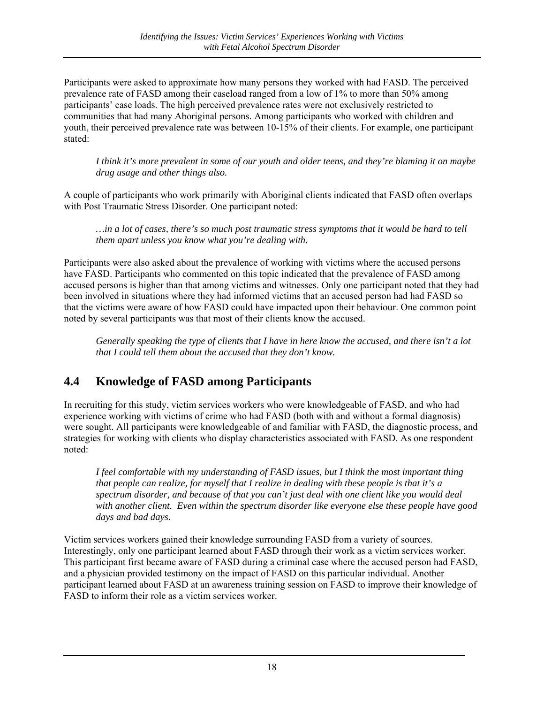<span id="page-17-0"></span>Participants were asked to approximate how many persons they worked with had FASD. The perceived prevalence rate of FASD among their caseload ranged from a low of 1% to more than 50% among participants' case loads. The high perceived prevalence rates were not exclusively restricted to communities that had many Aboriginal persons. Among participants who worked with children and youth, their perceived prevalence rate was between 10-15% of their clients. For example, one participant stated:

*I think it's more prevalent in some of our youth and older teens, and they're blaming it on maybe drug usage and other things also.* 

A couple of participants who work primarily with Aboriginal clients indicated that FASD often overlaps with Post Traumatic Stress Disorder. One participant noted:

*…in a lot of cases, there's so much post traumatic stress symptoms that it would be hard to tell them apart unless you know what you're dealing with.*

Participants were also asked about the prevalence of working with victims where the accused persons have FASD. Participants who commented on this topic indicated that the prevalence of FASD among accused persons is higher than that among victims and witnesses. Only one participant noted that they had been involved in situations where they had informed victims that an accused person had had FASD so that the victims were aware of how FASD could have impacted upon their behaviour. One common point noted by several participants was that most of their clients know the accused.

*Generally speaking the type of clients that I have in here know the accused, and there isn't a lot that I could tell them about the accused that they don't know.* 

#### **4.4 Knowledge of FASD among Participants**

In recruiting for this study, victim services workers who were knowledgeable of FASD, and who had experience working with victims of crime who had FASD (both with and without a formal diagnosis) were sought. All participants were knowledgeable of and familiar with FASD, the diagnostic process, and strategies for working with clients who display characteristics associated with FASD. As one respondent noted:

*I feel comfortable with my understanding of FASD issues, but I think the most important thing that people can realize, for myself that I realize in dealing with these people is that it's a spectrum disorder, and because of that you can't just deal with one client like you would deal with another client. Even within the spectrum disorder like everyone else these people have good days and bad days.* 

Victim services workers gained their knowledge surrounding FASD from a variety of sources. Interestingly, only one participant learned about FASD through their work as a victim services worker. This participant first became aware of FASD during a criminal case where the accused person had FASD, and a physician provided testimony on the impact of FASD on this particular individual. Another participant learned about FASD at an awareness training session on FASD to improve their knowledge of FASD to inform their role as a victim services worker.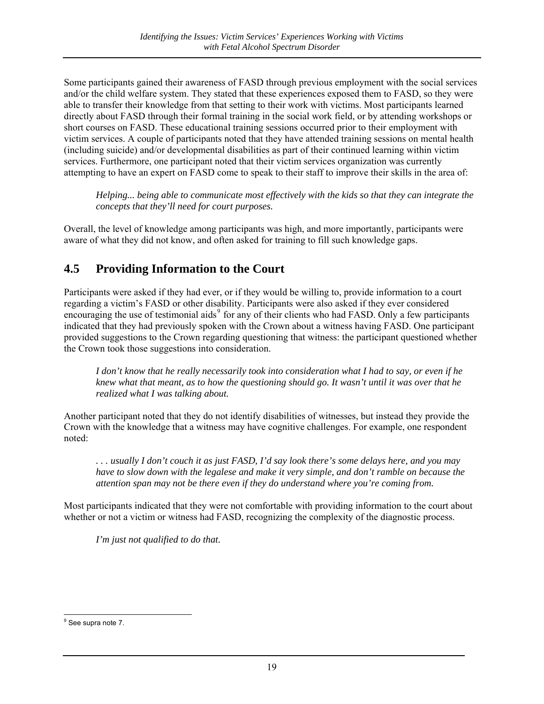<span id="page-18-0"></span>Some participants gained their awareness of FASD through previous employment with the social services and/or the child welfare system. They stated that these experiences exposed them to FASD, so they were able to transfer their knowledge from that setting to their work with victims. Most participants learned directly about FASD through their formal training in the social work field, or by attending workshops or short courses on FASD. These educational training sessions occurred prior to their employment with victim services. A couple of participants noted that they have attended training sessions on mental health (including suicide) and/or developmental disabilities as part of their continued learning within victim services. Furthermore, one participant noted that their victim services organization was currently attempting to have an expert on FASD come to speak to their staff to improve their skills in the area of:

*Helping... being able to communicate most effectively with the kids so that they can integrate the concepts that they'll need for court purposes.* 

Overall, the level of knowledge among participants was high, and more importantly, participants were aware of what they did not know, and often asked for training to fill such knowledge gaps.

#### **4.5 Providing Information to the Court**

Participants were asked if they had ever, or if they would be willing to, provide information to a court regarding a victim's FASD or other disability. Participants were also asked if they ever considered encouraging the use of testimonial aids<sup>[9](#page-18-1)</sup> for any of their clients who had FASD. Only a few participants indicated that they had previously spoken with the Crown about a witness having FASD. One participant provided suggestions to the Crown regarding questioning that witness: the participant questioned whether the Crown took those suggestions into consideration.

*I don't know that he really necessarily took into consideration what I had to say, or even if he knew what that meant, as to how the questioning should go. It wasn't until it was over that he realized what I was talking about.* 

Another participant noted that they do not identify disabilities of witnesses, but instead they provide the Crown with the knowledge that a witness may have cognitive challenges. For example, one respondent noted:

*. . . usually I don't couch it as just FASD, I'd say look there's some delays here, and you may have to slow down with the legalese and make it very simple, and don't ramble on because the attention span may not be there even if they do understand where you're coming from.*

Most participants indicated that they were not comfortable with providing information to the court about whether or not a victim or witness had FASD, recognizing the complexity of the diagnostic process.

*I'm just not qualified to do that.* 

<span id="page-18-1"></span>enderenderen.<br>
<sup>9</sup> See supra note 7.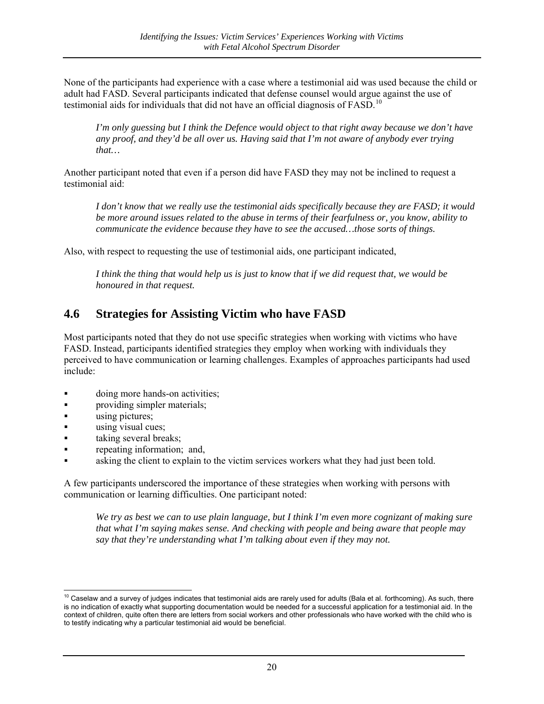<span id="page-19-0"></span>None of the participants had experience with a case where a testimonial aid was used because the child or adult had FASD. Several participants indicated that defense counsel would argue against the use of testimonial aids for individuals that did not have an official diagnosis of  $FASD$ <sup>[10](#page-19-1)</sup>

*I'm only guessing but I think the Defence would object to that right away because we don't have any proof, and they'd be all over us. Having said that I'm not aware of anybody ever trying that…* 

Another participant noted that even if a person did have FASD they may not be inclined to request a testimonial aid:

*I don't know that we really use the testimonial aids specifically because they are FASD; it would be more around issues related to the abuse in terms of their fearfulness or, you know, ability to communicate the evidence because they have to see the accused...those sorts of things.* 

Also, with respect to requesting the use of testimonial aids, one participant indicated,

*I think the thing that would help us is just to know that if we did request that, we would be honoured in that request.*

#### **4.6 Strategies for Assisting Victim who have FASD**

Most participants noted that they do not use specific strategies when working with victims who have FASD. Instead, participants identified strategies they employ when working with individuals they perceived to have communication or learning challenges. Examples of approaches participants had used include:

- **doing more hands-on activities;**
- **providing simpler materials;**
- using pictures;
- using visual cues;
- **taking several breaks;**
- **repeating information; and,**
- asking the client to explain to the victim services workers what they had just been told.

A few participants underscored the importance of these strategies when working with persons with communication or learning difficulties. One participant noted:

*We try as best we can to use plain language, but I think I'm even more cognizant of making sure that what I'm saying makes sense. And checking with people and being aware that people may say that they're understanding what I'm talking about even if they may not.* 

<span id="page-19-1"></span> $\overline{1}$ 10 Caselaw and a survey of judges indicates that testimonial aids are rarely used for adults (Bala et al. forthcoming). As such, there is no indication of exactly what supporting documentation would be needed for a successful application for a testimonial aid. In the context of children, quite often there are letters from social workers and other professionals who have worked with the child who is to testify indicating why a particular testimonial aid would be beneficial.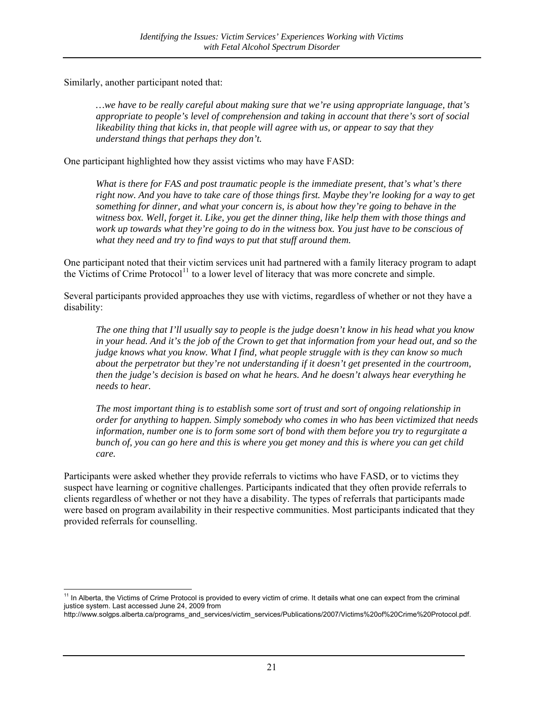Similarly, another participant noted that:

*…we have to be really careful about making sure that we're using appropriate language, that's appropriate to people's level of comprehension and taking in account that there's sort of social likeability thing that kicks in, that people will agree with us, or appear to say that they understand things that perhaps they don't.*

One participant highlighted how they assist victims who may have FASD:

*What is there for FAS and post traumatic people is the immediate present, that's what's there right now. And you have to take care of those things first. Maybe they're looking for a way to get something for dinner, and what your concern is, is about how they're going to behave in the witness box. Well, forget it. Like, you get the dinner thing, like help them with those things and work up towards what they're going to do in the witness box. You just have to be conscious of what they need and try to find ways to put that stuff around them.*

One participant noted that their victim services unit had partnered with a family literacy program to adapt the Victims of Crime Protocol<sup>[11](#page-20-0)</sup> to a lower level of literacy that was more concrete and simple.

Several participants provided approaches they use with victims, regardless of whether or not they have a disability:

*The one thing that I'll usually say to people is the judge doesn't know in his head what you know in your head. And it's the job of the Crown to get that information from your head out, and so the judge knows what you know. What I find, what people struggle with is they can know so much about the perpetrator but they're not understanding if it doesn't get presented in the courtroom, then the judge's decision is based on what he hears. And he doesn't always hear everything he needs to hear.* 

*The most important thing is to establish some sort of trust and sort of ongoing relationship in order for anything to happen. Simply somebody who comes in who has been victimized that needs information, number one is to form some sort of bond with them before you try to regurgitate a bunch of, you can go here and this is where you get money and this is where you can get child care.* 

Participants were asked whether they provide referrals to victims who have FASD, or to victims they suspect have learning or cognitive challenges. Participants indicated that they often provide referrals to clients regardless of whether or not they have a disability. The types of referrals that participants made were based on program availability in their respective communities. Most participants indicated that they provided referrals for counselling.

<span id="page-20-0"></span><sup>&</sup>lt;u>.</u> <sup>11</sup> In Alberta, the Victims of Crime Protocol is provided to every victim of crime. It details what one can expect from the criminal justice system. Last accessed June 24, 2009 from

http://www.solgps.alberta.ca/programs\_and\_services/victim\_services/Publications/2007/Victims%20of%20Crime%20Protocol.pdf.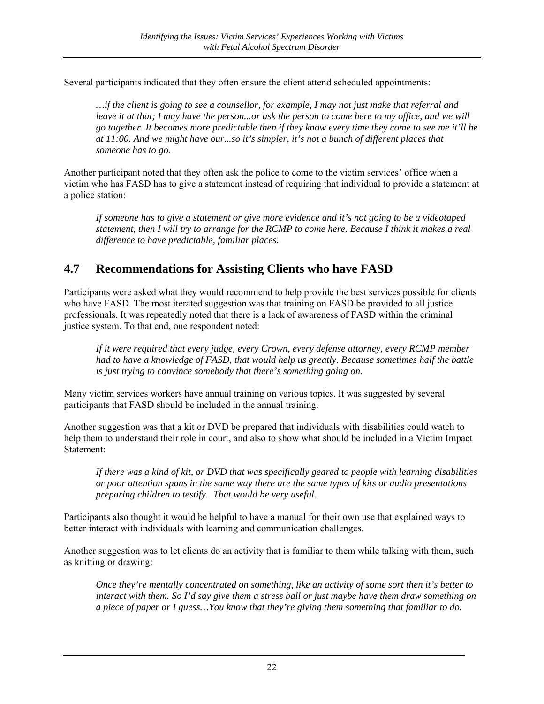<span id="page-21-0"></span>Several participants indicated that they often ensure the client attend scheduled appointments:

*…if the client is going to see a counsellor, for example, I may not just make that referral and leave it at that; I may have the person...or ask the person to come here to my office, and we will go together. It becomes more predictable then if they know every time they come to see me it'll be at 11:00. And we might have our...so it's simpler, it's not a bunch of different places that someone has to go.* 

Another participant noted that they often ask the police to come to the victim services' office when a victim who has FASD has to give a statement instead of requiring that individual to provide a statement at a police station:

*If someone has to give a statement or give more evidence and it's not going to be a videotaped statement, then I will try to arrange for the RCMP to come here. Because I think it makes a real difference to have predictable, familiar places.* 

#### **4.7 Recommendations for Assisting Clients who have FASD**

Participants were asked what they would recommend to help provide the best services possible for clients who have FASD. The most iterated suggestion was that training on FASD be provided to all justice professionals. It was repeatedly noted that there is a lack of awareness of FASD within the criminal justice system. To that end, one respondent noted:

*If it were required that every judge, every Crown, every defense attorney, every RCMP member had to have a knowledge of FASD, that would help us greatly. Because sometimes half the battle is just trying to convince somebody that there's something going on.* 

Many victim services workers have annual training on various topics. It was suggested by several participants that FASD should be included in the annual training.

Another suggestion was that a kit or DVD be prepared that individuals with disabilities could watch to help them to understand their role in court, and also to show what should be included in a Victim Impact Statement:

*If there was a kind of kit, or DVD that was specifically geared to people with learning disabilities or poor attention spans in the same way there are the same types of kits or audio presentations preparing children to testify. That would be very useful.*

Participants also thought it would be helpful to have a manual for their own use that explained ways to better interact with individuals with learning and communication challenges.

Another suggestion was to let clients do an activity that is familiar to them while talking with them, such as knitting or drawing:

*Once they're mentally concentrated on something, like an activity of some sort then it's better to interact with them. So I'd say give them a stress ball or just maybe have them draw something on a piece of paper or I guess…You know that they're giving them something that familiar to do.*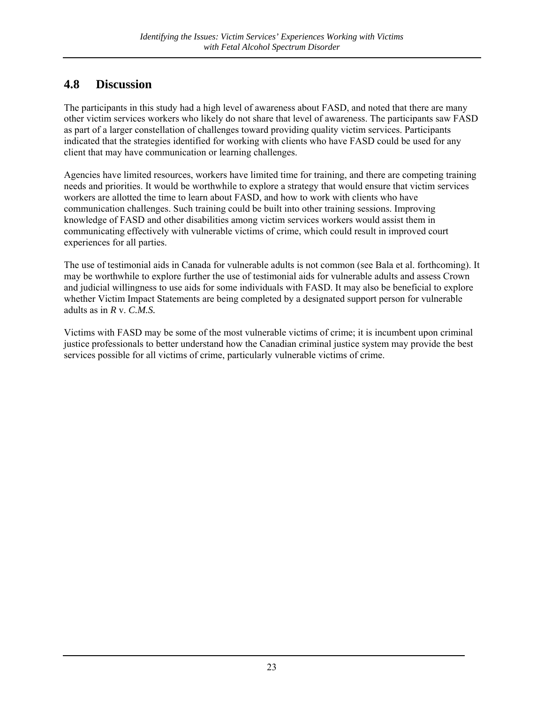#### <span id="page-22-0"></span>**4.8 Discussion**

The participants in this study had a high level of awareness about FASD, and noted that there are many other victim services workers who likely do not share that level of awareness. The participants saw FASD as part of a larger constellation of challenges toward providing quality victim services. Participants indicated that the strategies identified for working with clients who have FASD could be used for any client that may have communication or learning challenges.

Agencies have limited resources, workers have limited time for training, and there are competing training needs and priorities. It would be worthwhile to explore a strategy that would ensure that victim services workers are allotted the time to learn about FASD, and how to work with clients who have communication challenges. Such training could be built into other training sessions. Improving knowledge of FASD and other disabilities among victim services workers would assist them in communicating effectively with vulnerable victims of crime, which could result in improved court experiences for all parties.

The use of testimonial aids in Canada for vulnerable adults is not common (see Bala et al. forthcoming). It may be worthwhile to explore further the use of testimonial aids for vulnerable adults and assess Crown and judicial willingness to use aids for some individuals with FASD. It may also be beneficial to explore whether Victim Impact Statements are being completed by a designated support person for vulnerable adults as in *R* v. *C.M.S.* 

Victims with FASD may be some of the most vulnerable victims of crime; it is incumbent upon criminal justice professionals to better understand how the Canadian criminal justice system may provide the best services possible for all victims of crime, particularly vulnerable victims of crime.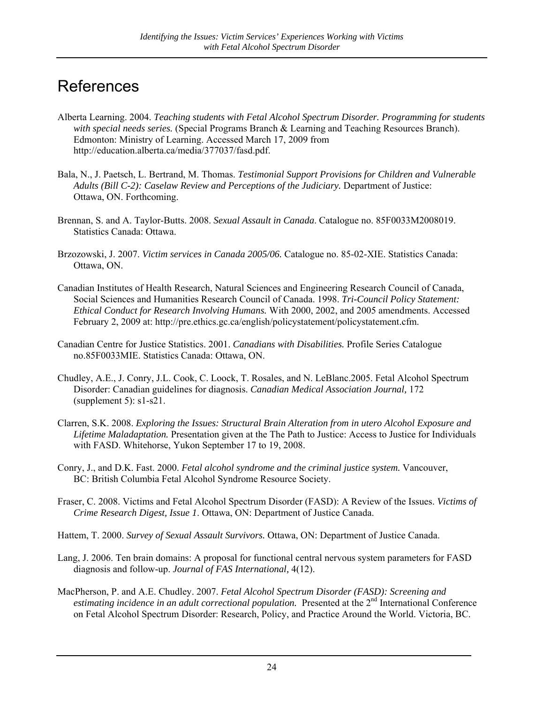### <span id="page-23-0"></span>**References**

- Alberta Learning. 2004. *Teaching students with Fetal Alcohol Spectrum Disorder. Programming for students with special needs series.* (Special Programs Branch & Learning and Teaching Resources Branch). Edmonton: Ministry of Learning. Accessed March 17, 2009 from http://education.alberta.ca/media/377037/fasd.pdf.
- Bala, N., J. Paetsch, L. Bertrand, M. Thomas. *Testimonial Support Provisions for Children and Vulnerable Adults (Bill C-2): Caselaw Review and Perceptions of the Judiciary.* Department of Justice: Ottawa, ON. Forthcoming.
- Brennan, S. and A. Taylor-Butts. 2008. *Sexual Assault in Canada*. Catalogue no. 85F0033M2008019. Statistics Canada: Ottawa.
- Brzozowski, J. 2007. *Victim services in Canada 2005/06.* Catalogue no. 85-02-XIE. Statistics Canada: Ottawa, ON.
- Canadian Institutes of Health Research, Natural Sciences and Engineering Research Council of Canada, Social Sciences and Humanities Research Council of Canada. 1998. *Tri-Council Policy Statement: Ethical Conduct for Research Involving Humans.* With 2000, 2002, and 2005 amendments. Accessed February 2, 2009 at: http://pre.ethics.gc.ca/english/policystatement/policystatement.cfm.
- Canadian Centre for Justice Statistics. 2001. *Canadians with Disabilities.* Profile Series Catalogue no.85F0033MIE. Statistics Canada: Ottawa, ON.
- Chudley, A.E., J. Conry, J.L. Cook, C. Loock, T. Rosales, and N. LeBlanc.2005. Fetal Alcohol Spectrum Disorder: Canadian guidelines for diagnosis. *Canadian Medical Association Journal,* 172 (supplement 5): s1-s21.
- Clarren, S.K. 2008. *Exploring the Issues: Structural Brain Alteration from in utero Alcohol Exposure and Lifetime Maladaptation.* Presentation given at the The Path to Justice: Access to Justice for Individuals with FASD. Whitehorse, Yukon September 17 to 19, 2008.
- Conry, J., and D.K. Fast. 2000. *Fetal alcohol syndrome and the criminal justice system.* Vancouver, BC: British Columbia Fetal Alcohol Syndrome Resource Society.
- Fraser, C. 2008. Victims and Fetal Alcohol Spectrum Disorder (FASD): A Review of the Issues. *Victims of Crime Research Digest, Issue 1*. Ottawa, ON: Department of Justice Canada.
- Hattem, T. 2000. *Survey of Sexual Assault Survivors.* Ottawa, ON: Department of Justice Canada.
- Lang, J. 2006. Ten brain domains: A proposal for functional central nervous system parameters for FASD diagnosis and follow-up. *Journal of FAS International,* 4(12).
- MacPherson, P. and A.E. Chudley. 2007. *Fetal Alcohol Spectrum Disorder (FASD): Screening and estimating incidence in an adult correctional population.* Presented at the 2<sup>nd</sup> International Conference on Fetal Alcohol Spectrum Disorder: Research, Policy, and Practice Around the World. Victoria, BC.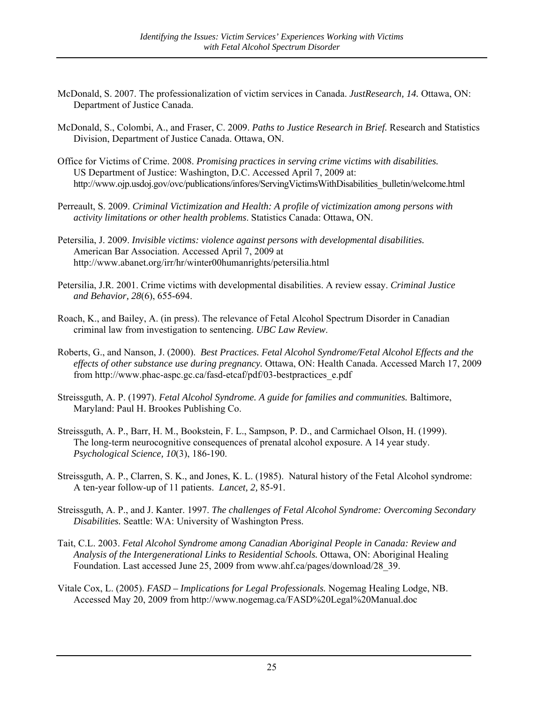- McDonald, S. 2007. The professionalization of victim services in Canada. *JustResearch, 14.* Ottawa, ON: Department of Justice Canada.
- McDonald, S., Colombi, A., and Fraser, C. 2009. *Paths to Justice Research in Brief.* Research and Statistics Division, Department of Justice Canada. Ottawa, ON.
- Office for Victims of Crime. 2008. *Promising practices in serving crime victims with disabilities.*  US Department of Justice: Washington, D.C. Accessed April 7, 2009 at: http://www.ojp.usdoj.gov/ovc/publications/infores/ServingVictimsWithDisabilities\_bulletin/welcome.html
- Perreault, S. 2009. *Criminal Victimization and Health: A profile of victimization among persons with activity limitations or other health problems*. Statistics Canada: Ottawa, ON.
- Petersilia, J. 2009. *Invisible victims: violence against persons with developmental disabilities.* American Bar Association. Accessed April 7, 2009 at http://www.abanet.org/irr/hr/winter00humanrights/petersilia.html
- Petersilia, J.R. 2001. Crime victims with developmental disabilities. A review essay. *Criminal Justice and Behavior, 28*(6), 655-694.
- Roach, K., and Bailey, A. (in press). The relevance of Fetal Alcohol Spectrum Disorder in Canadian criminal law from investigation to sentencing. *UBC Law Review*.
- Roberts, G., and Nanson, J. (2000). *Best Practices. Fetal Alcohol Syndrome/Fetal Alcohol Effects and the effects of other substance use during pregnancy.* Ottawa, ON: Health Canada. Accessed March 17, 2009 from http://www.phac-aspc.gc.ca/fasd-etcaf/pdf/03-bestpractices\_e.pdf
- Streissguth, A. P. (1997). *Fetal Alcohol Syndrome. A guide for families and communities.* Baltimore, Maryland: Paul H. Brookes Publishing Co.
- Streissguth, A. P., Barr, H. M., Bookstein, F. L., Sampson, P. D., and Carmichael Olson, H. (1999). The long-term neurocognitive consequences of prenatal alcohol exposure. A 14 year study. *Psychological Science, 10*(3), 186-190.
- Streissguth, A. P., Clarren, S. K., and Jones, K. L. (1985). Natural history of the Fetal Alcohol syndrome: A ten-year follow-up of 11 patients. *Lancet, 2,* 85-91.
- Streissguth, A. P., and J. Kanter. 1997. *The challenges of Fetal Alcohol Syndrome: Overcoming Secondary Disabilities.* Seattle: WA: University of Washington Press.
- Tait, C.L. 2003. *Fetal Alcohol Syndrome among Canadian Aboriginal People in Canada: Review and Analysis of the Intergenerational Links to Residential Schools.* Ottawa, ON: Aboriginal Healing Foundation. Last accessed June 25, 2009 from www.ahf.ca/pages/download/28\_39.
- Vitale Cox, L. (2005). *FASD Implications for Legal Professionals.* Nogemag Healing Lodge, NB. Accessed May 20, 2009 from http://www.nogemag.ca/FASD%20Legal%20Manual.doc